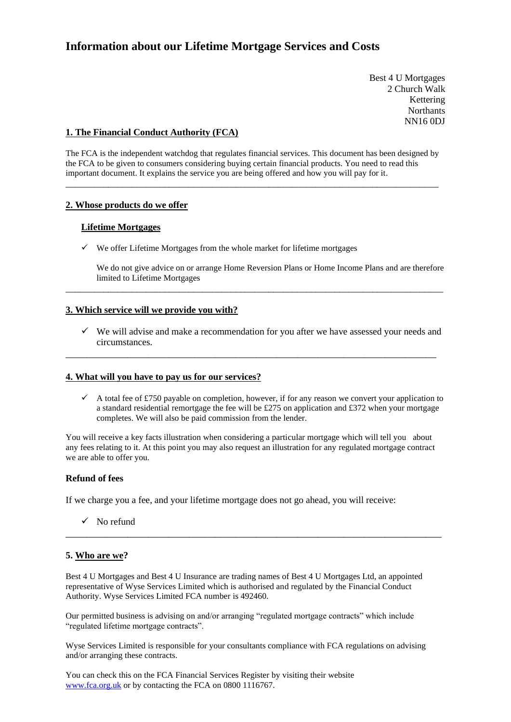# **Information about our Lifetime Mortgage Services and Costs**

Best 4 U Mortgages 2 Church Walk Kettering **Northants** NN16 0DJ

## **1. The Financial Conduct Authority (FCA)**

The FCA is the independent watchdog that regulates financial services. This document has been designed by the FCA to be given to consumers considering buying certain financial products. You need to read this important document. It explains the service you are being offered and how you will pay for it.

\_\_\_\_\_\_\_\_\_\_\_\_\_\_\_\_\_\_\_\_\_\_\_\_\_\_\_\_\_\_\_\_\_\_\_\_\_\_\_\_\_\_\_\_\_\_\_\_\_\_\_\_\_\_\_\_\_\_\_\_\_\_\_\_\_\_\_\_\_\_\_\_\_\_\_\_\_\_\_

## **2. Whose products do we offer**

## **Lifetime Mortgages**

✓ We offer Lifetime Mortgages from the whole market for lifetime mortgages

We do not give advice on or arrange Home Reversion Plans or Home Income Plans and are therefore limited to Lifetime Mortgages

## **3. Which service will we provide you with?**

 $\checkmark$  We will advise and make a recommendation for you after we have assessed your needs and circumstances.

\_\_\_\_\_\_\_\_\_\_\_\_\_\_\_\_\_\_\_\_\_\_\_\_\_\_\_\_\_\_\_\_\_\_\_\_\_\_\_\_\_\_\_\_\_\_\_\_\_\_\_\_\_\_\_\_\_\_\_\_\_\_\_\_\_\_\_\_\_\_\_\_

\_\_\_\_\_\_\_\_\_\_\_\_\_\_\_\_\_\_\_\_\_\_\_\_\_\_\_\_\_\_\_\_\_\_\_\_\_\_\_\_\_\_\_\_\_\_\_\_\_\_\_\_\_\_\_\_\_\_\_\_\_\_\_\_\_\_\_\_\_\_\_\_\_\_\_\_\_\_\_\_

## **4. What will you have to pay us for our services?**

 $\checkmark$  A total fee of £750 payable on completion, however, if for any reason we convert your application to a standard residential remortgage the fee will be £275 on application and £372 when your mortgage completes. We will also be paid commission from the lender.

You will receive a key facts illustration when considering a particular mortgage which will tell you about any fees relating to it. At this point you may also request an illustration for any regulated mortgage contract we are able to offer you.

## **Refund of fees**

If we charge you a fee, and your lifetime mortgage does not go ahead, you will receive:

 $\checkmark$  No refund

## **5. Who are we?**

Best 4 U Mortgages and Best 4 U Insurance are trading names of Best 4 U Mortgages Ltd, an appointed representative of Wyse Services Limited which is authorised and regulated by the Financial Conduct Authority. Wyse Services Limited FCA number is 492460.

\_\_\_\_\_\_\_\_\_\_\_\_\_\_\_\_\_\_\_\_\_\_\_\_\_\_\_\_\_\_\_\_\_\_\_\_\_\_\_\_\_\_\_\_\_\_\_\_\_\_\_\_\_\_\_\_\_\_\_\_\_\_\_\_\_\_\_\_\_\_\_\_\_

Our permitted business is advising on and/or arranging "regulated mortgage contracts" which include "regulated lifetime mortgage contracts".

Wyse Services Limited is responsible for your consultants compliance with FCA regulations on advising and/or arranging these contracts.

You can check this on the FCA Financial Services Register by visiting their website [www.fca.org.uk](http://www.fca.org.uk/) or by contacting the FCA on 0800 1116767.